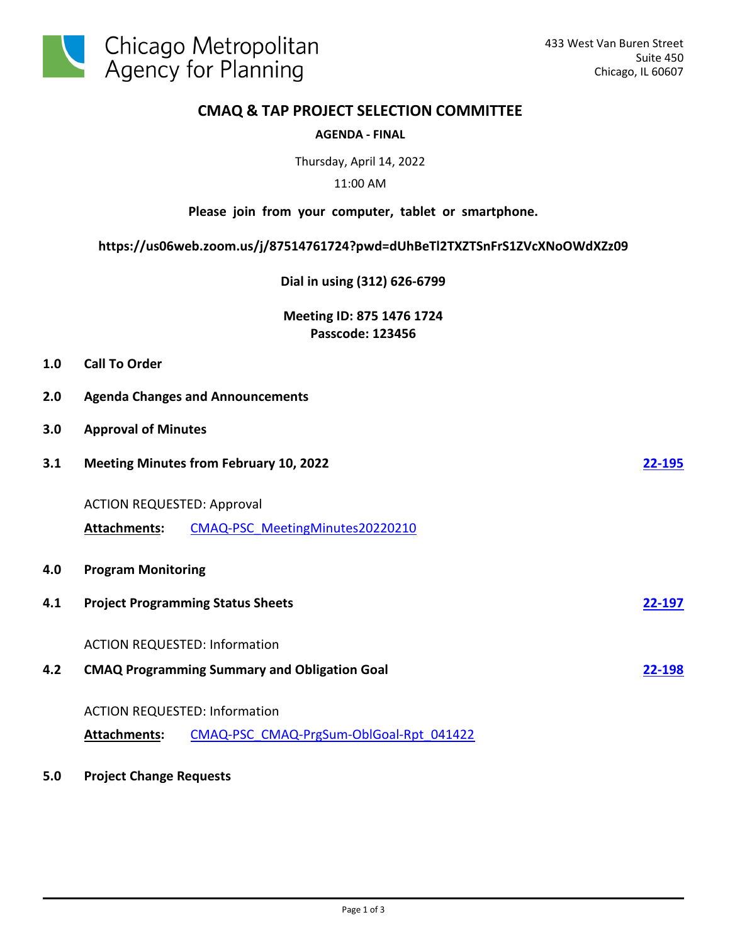

**2.0 Agenda Changes and Announcements**

# **CMAQ & TAP PROJECT SELECTION COMMITTEE**

### **AGENDA - FINAL**

Thursday, April 14, 2022

### 11:00 AM

#### **Please join from your computer, tablet or smartphone.**

# **https://us06web.zoom.us/j/87514761724?pwd=dUhBeTl2TXZTSnFrS1ZVcXNoOWdXZz09**

**Dial in using (312) 626-6799**

**Meeting ID: 875 1476 1724 Passcode: 123456**

| <b>Call To Order</b><br>1.0 |
|-----------------------------|
|-----------------------------|

| 3.0 | <b>Approval of Minutes</b>                    |                                                     |        |  |  |
|-----|-----------------------------------------------|-----------------------------------------------------|--------|--|--|
| 3.1 | <b>Meeting Minutes from February 10, 2022</b> |                                                     |        |  |  |
|     | <b>ACTION REQUESTED: Approval</b>             |                                                     |        |  |  |
|     | Attachments:                                  | CMAQ-PSC MeetingMinutes20220210                     |        |  |  |
| 4.0 | <b>Program Monitoring</b>                     |                                                     |        |  |  |
| 4.1 |                                               | <b>Project Programming Status Sheets</b>            | 22-197 |  |  |
|     | <b>ACTION REQUESTED: Information</b>          |                                                     |        |  |  |
| 4.2 |                                               | <b>CMAQ Programming Summary and Obligation Goal</b> | 22-198 |  |  |
|     | <b>ACTION REQUESTED: Information</b>          |                                                     |        |  |  |
|     | <b>Attachments:</b>                           | CMAQ-PSC CMAQ-PrgSum-OblGoal-Rpt 041422             |        |  |  |

### **5.0 Project Change Requests**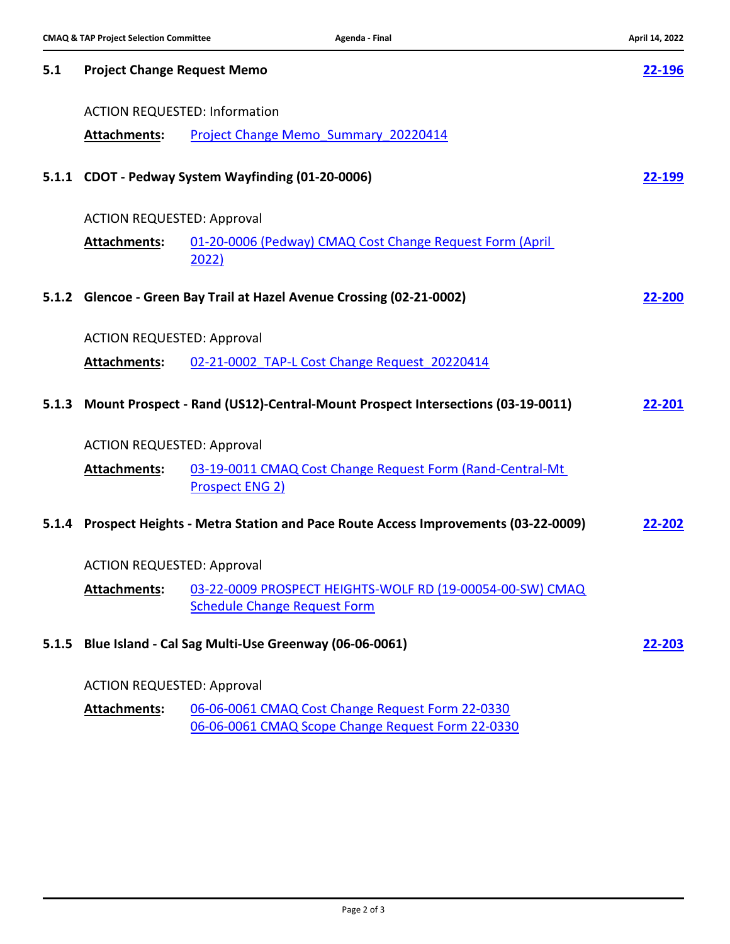| 5.1   | <b>Project Change Request Memo</b>   |                                                                                                       |                |  |  |
|-------|--------------------------------------|-------------------------------------------------------------------------------------------------------|----------------|--|--|
|       | <b>ACTION REQUESTED: Information</b> |                                                                                                       |                |  |  |
|       | Attachments:                         | Project Change Memo Summary 20220414                                                                  |                |  |  |
|       |                                      | 5.1.1 CDOT - Pedway System Wayfinding (01-20-0006)                                                    | 22-199         |  |  |
|       | <b>ACTION REQUESTED: Approval</b>    |                                                                                                       |                |  |  |
|       | Attachments:                         | 01-20-0006 (Pedway) CMAQ Cost Change Request Form (April<br>2022)                                     |                |  |  |
| 5.1.2 |                                      | Glencoe - Green Bay Trail at Hazel Avenue Crossing (02-21-0002)                                       | 22-200         |  |  |
|       | <b>ACTION REQUESTED: Approval</b>    |                                                                                                       |                |  |  |
|       | Attachments:                         | 02-21-0002 TAP-L Cost Change Request 20220414                                                         |                |  |  |
| 5.1.3 |                                      | Mount Prospect - Rand (US12)-Central-Mount Prospect Intersections (03-19-0011)                        | 22-201         |  |  |
|       | <b>ACTION REQUESTED: Approval</b>    |                                                                                                       |                |  |  |
|       | <b>Attachments:</b>                  | 03-19-0011 CMAQ Cost Change Request Form (Rand-Central-Mt)<br><b>Prospect ENG 2)</b>                  |                |  |  |
|       |                                      | 5.1.4 Prospect Heights - Metra Station and Pace Route Access Improvements (03-22-0009)                | 22-202         |  |  |
|       | <b>ACTION REQUESTED: Approval</b>    |                                                                                                       |                |  |  |
|       | Attachments:                         | 03-22-0009 PROSPECT HEIGHTS-WOLF RD (19-00054-00-SW) CMAQ<br><b>Schedule Change Request Form</b>      |                |  |  |
| 5.1.5 |                                      | Blue Island - Cal Sag Multi-Use Greenway (06-06-0061)                                                 | <u> 22-203</u> |  |  |
|       | <b>ACTION REQUESTED: Approval</b>    |                                                                                                       |                |  |  |
|       | Attachments:                         | 06-06-0061 CMAQ Cost Change Request Form 22-0330<br>06-06-0061 CMAQ Scope Change Request Form 22-0330 |                |  |  |